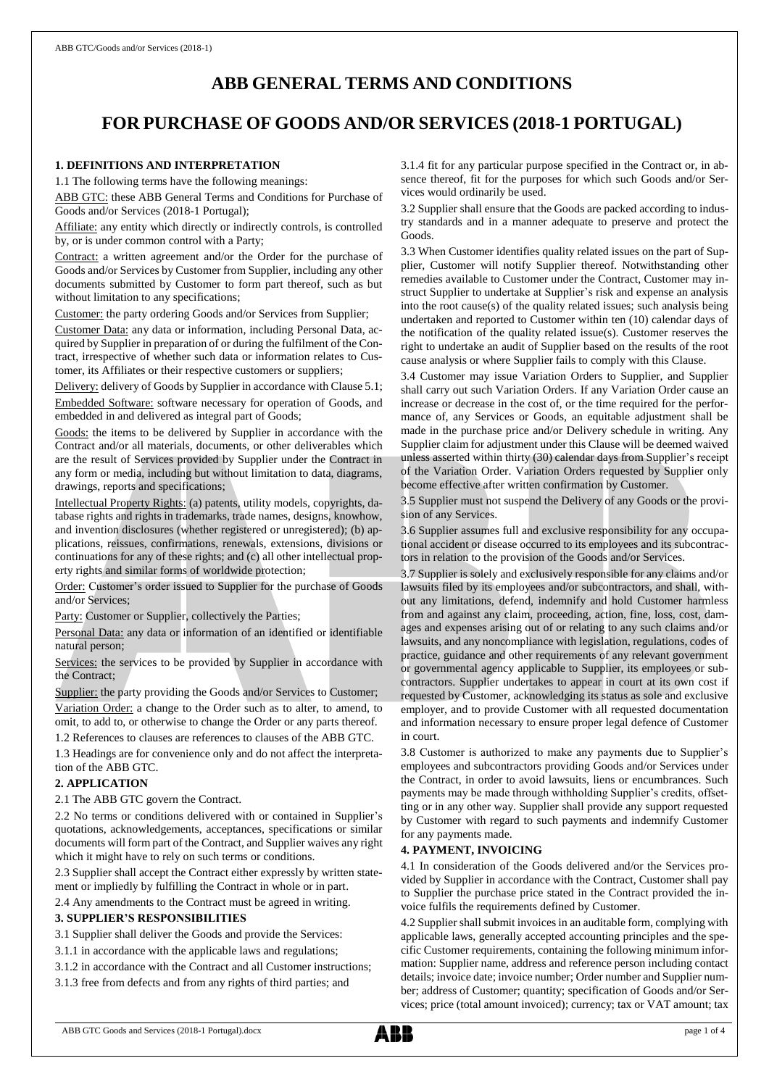# **ABB GENERAL TERMS AND CONDITIONS**

# **FOR PURCHASE OF GOODS AND/OR SERVICES (2018-1 PORTUGAL)**

# **1. DEFINITIONS AND INTERPRETATION**

1.1 The following terms have the following meanings:

ABB GTC: these ABB General Terms and Conditions for Purchase of Goods and/or Services (2018-1 Portugal);

Affiliate: any entity which directly or indirectly controls, is controlled by, or is under common control with a Party;

Contract: a written agreement and/or the Order for the purchase of Goods and/or Services by Customer from Supplier, including any other documents submitted by Customer to form part thereof, such as but without limitation to any specifications;

Customer: the party ordering Goods and/or Services from Supplier;

Customer Data: any data or information, including Personal Data, acquired by Supplier in preparation of or during the fulfilment of the Contract, irrespective of whether such data or information relates to Customer, its Affiliates or their respective customers or suppliers;

Delivery: delivery of Goods by Supplier in accordance with Clause 5.1; Embedded Software: software necessary for operation of Goods, and embedded in and delivered as integral part of Goods;

Goods: the items to be delivered by Supplier in accordance with the Contract and/or all materials, documents, or other deliverables which are the result of Services provided by Supplier under the Contract in any form or media, including but without limitation to data, diagrams, drawings, reports and specifications;

Intellectual Property Rights: (a) patents, utility models, copyrights, database rights and rights in trademarks, trade names, designs, knowhow, and invention disclosures (whether registered or unregistered); (b) applications, reissues, confirmations, renewals, extensions, divisions or continuations for any of these rights; and (c) all other intellectual property rights and similar forms of worldwide protection;

Order: Customer's order issued to Supplier for the purchase of Goods and/or Services;

Party: Customer or Supplier, collectively the Parties;

Personal Data: any data or information of an identified or identifiable natural person;

Services: the services to be provided by Supplier in accordance with the Contract;

Supplier: the party providing the Goods and/or Services to Customer; Variation Order: a change to the Order such as to alter, to amend, to omit, to add to, or otherwise to change the Order or any parts thereof.

1.2 References to clauses are references to clauses of the ABB GTC.

1.3 Headings are for convenience only and do not affect the interpretation of the ABB GTC.

# **2. APPLICATION**

2.1 The ABB GTC govern the Contract.

2.2 No terms or conditions delivered with or contained in Supplier's quotations, acknowledgements, acceptances, specifications or similar documents will form part of the Contract, and Supplier waives any right which it might have to rely on such terms or conditions.

2.3 Supplier shall accept the Contract either expressly by written statement or impliedly by fulfilling the Contract in whole or in part.

2.4 Any amendments to the Contract must be agreed in writing.

## **3. SUPPLIER'S RESPONSIBILITIES**

3.1 Supplier shall deliver the Goods and provide the Services:

3.1.1 in accordance with the applicable laws and regulations;

3.1.2 in accordance with the Contract and all Customer instructions;

3.1.3 free from defects and from any rights of third parties; and

3.1.4 fit for any particular purpose specified in the Contract or, in absence thereof, fit for the purposes for which such Goods and/or Services would ordinarily be used.

3.2 Supplier shall ensure that the Goods are packed according to industry standards and in a manner adequate to preserve and protect the Goods.

3.3 When Customer identifies quality related issues on the part of Supplier, Customer will notify Supplier thereof. Notwithstanding other remedies available to Customer under the Contract, Customer may instruct Supplier to undertake at Supplier's risk and expense an analysis into the root cause(s) of the quality related issues; such analysis being undertaken and reported to Customer within ten (10) calendar days of the notification of the quality related issue(s). Customer reserves the right to undertake an audit of Supplier based on the results of the root cause analysis or where Supplier fails to comply with this Clause.

3.4 Customer may issue Variation Orders to Supplier, and Supplier shall carry out such Variation Orders. If any Variation Order cause an increase or decrease in the cost of, or the time required for the performance of, any Services or Goods, an equitable adjustment shall be made in the purchase price and/or Delivery schedule in writing. Any Supplier claim for adjustment under this Clause will be deemed waived unless asserted within thirty (30) calendar days from Supplier's receipt of the Variation Order. Variation Orders requested by Supplier only become effective after written confirmation by Customer.

3.5 Supplier must not suspend the Delivery of any Goods or the provision of any Services.

3.6 Supplier assumes full and exclusive responsibility for any occupational accident or disease occurred to its employees and its subcontractors in relation to the provision of the Goods and/or Services.

3.7 Supplier is solely and exclusively responsible for any claims and/or lawsuits filed by its employees and/or subcontractors, and shall, without any limitations, defend, indemnify and hold Customer harmless from and against any claim, proceeding, action, fine, loss, cost, damages and expenses arising out of or relating to any such claims and/or lawsuits, and any noncompliance with legislation, regulations, codes of practice, guidance and other requirements of any relevant government or governmental agency applicable to Supplier, its employees or subcontractors. Supplier undertakes to appear in court at its own cost if requested by Customer, acknowledging its status as sole and exclusive employer, and to provide Customer with all requested documentation and information necessary to ensure proper legal defence of Customer in court.

3.8 Customer is authorized to make any payments due to Supplier's employees and subcontractors providing Goods and/or Services under the Contract, in order to avoid lawsuits, liens or encumbrances. Such payments may be made through withholding Supplier's credits, offsetting or in any other way. Supplier shall provide any support requested by Customer with regard to such payments and indemnify Customer for any payments made.

#### **4. PAYMENT, INVOICING**

4.1 In consideration of the Goods delivered and/or the Services provided by Supplier in accordance with the Contract, Customer shall pay to Supplier the purchase price stated in the Contract provided the invoice fulfils the requirements defined by Customer.

4.2 Supplier shall submit invoices in an auditable form, complying with applicable laws, generally accepted accounting principles and the specific Customer requirements, containing the following minimum information: Supplier name, address and reference person including contact details; invoice date; invoice number; Order number and Supplier number; address of Customer; quantity; specification of Goods and/or Services; price (total amount invoiced); currency; tax or VAT amount; tax

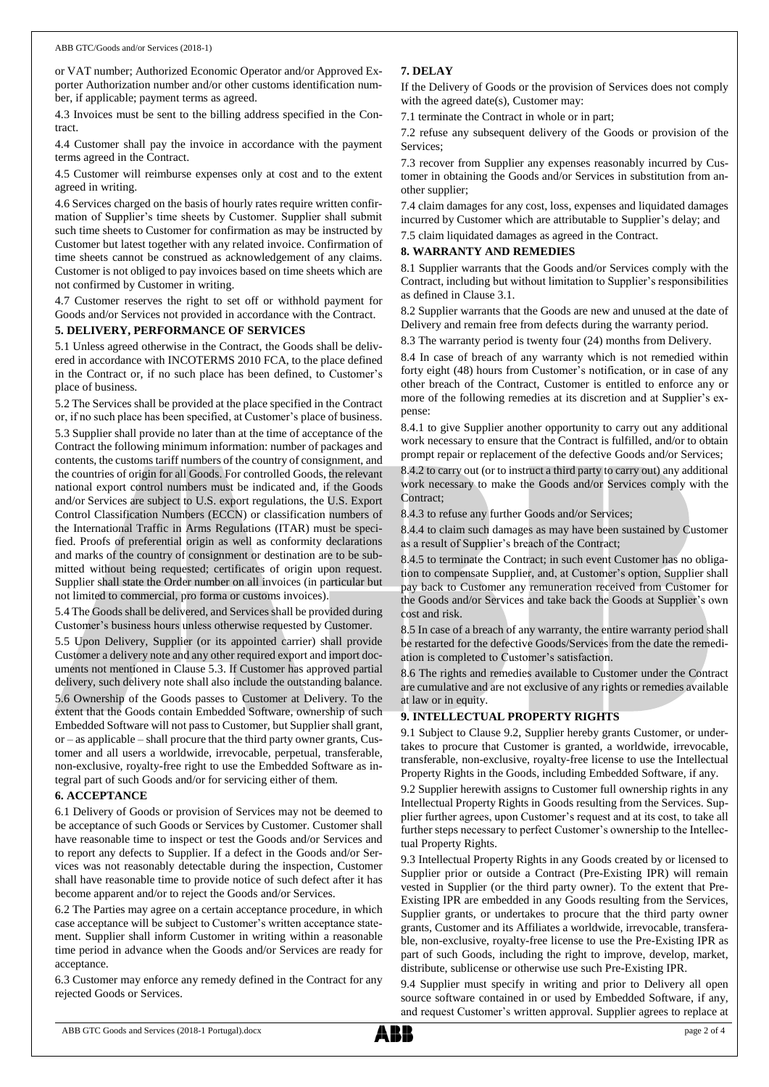or VAT number; Authorized Economic Operator and/or Approved Exporter Authorization number and/or other customs identification number, if applicable; payment terms as agreed.

4.3 Invoices must be sent to the billing address specified in the Contract.

4.4 Customer shall pay the invoice in accordance with the payment terms agreed in the Contract.

4.5 Customer will reimburse expenses only at cost and to the extent agreed in writing.

4.6 Services charged on the basis of hourly rates require written confirmation of Supplier's time sheets by Customer. Supplier shall submit such time sheets to Customer for confirmation as may be instructed by Customer but latest together with any related invoice. Confirmation of time sheets cannot be construed as acknowledgement of any claims. Customer is not obliged to pay invoices based on time sheets which are not confirmed by Customer in writing.

4.7 Customer reserves the right to set off or withhold payment for Goods and/or Services not provided in accordance with the Contract.

#### **5. DELIVERY, PERFORMANCE OF SERVICES**

5.1 Unless agreed otherwise in the Contract, the Goods shall be delivered in accordance with INCOTERMS 2010 FCA, to the place defined in the Contract or, if no such place has been defined, to Customer's place of business.

5.2 The Services shall be provided at the place specified in the Contract or, if no such place has been specified, at Customer's place of business. 5.3 Supplier shall provide no later than at the time of acceptance of the Contract the following minimum information: number of packages and contents, the customs tariff numbers of the country of consignment, and the countries of origin for all Goods. For controlled Goods, the relevant national export control numbers must be indicated and, if the Goods and/or Services are subject to U.S. export regulations, the U.S. Export Control Classification Numbers (ECCN) or classification numbers of the International Traffic in Arms Regulations (ITAR) must be specified. Proofs of preferential origin as well as conformity declarations and marks of the country of consignment or destination are to be submitted without being requested; certificates of origin upon request. Supplier shall state the Order number on all invoices (in particular but not limited to commercial, pro forma or customs invoices).

5.4 The Goods shall be delivered, and Services shall be provided during Customer's business hours unless otherwise requested by Customer.

5.5 Upon Delivery, Supplier (or its appointed carrier) shall provide Customer a delivery note and any other required export and import documents not mentioned in Clause 5.3. If Customer has approved partial delivery, such delivery note shall also include the outstanding balance.

5.6 Ownership of the Goods passes to Customer at Delivery. To the extent that the Goods contain Embedded Software, ownership of such Embedded Software will not passto Customer, but Supplier shall grant, or – as applicable – shall procure that the third party owner grants, Customer and all users a worldwide, irrevocable, perpetual, transferable, non-exclusive, royalty-free right to use the Embedded Software as integral part of such Goods and/or for servicing either of them.

# **6. ACCEPTANCE**

6.1 Delivery of Goods or provision of Services may not be deemed to be acceptance of such Goods or Services by Customer. Customer shall have reasonable time to inspect or test the Goods and/or Services and to report any defects to Supplier. If a defect in the Goods and/or Services was not reasonably detectable during the inspection, Customer shall have reasonable time to provide notice of such defect after it has become apparent and/or to reject the Goods and/or Services.

6.2 The Parties may agree on a certain acceptance procedure, in which case acceptance will be subject to Customer's written acceptance statement. Supplier shall inform Customer in writing within a reasonable time period in advance when the Goods and/or Services are ready for acceptance.

6.3 Customer may enforce any remedy defined in the Contract for any rejected Goods or Services.

# **7. DELAY**

If the Delivery of Goods or the provision of Services does not comply with the agreed date(s), Customer may:

7.1 terminate the Contract in whole or in part;

7.2 refuse any subsequent delivery of the Goods or provision of the Services;

7.3 recover from Supplier any expenses reasonably incurred by Customer in obtaining the Goods and/or Services in substitution from another supplier;

7.4 claim damages for any cost, loss, expenses and liquidated damages incurred by Customer which are attributable to Supplier's delay; and

7.5 claim liquidated damages as agreed in the Contract.

## **8. WARRANTY AND REMEDIES**

8.1 Supplier warrants that the Goods and/or Services comply with the Contract, including but without limitation to Supplier's responsibilities as defined in Clause 3.1.

8.2 Supplier warrants that the Goods are new and unused at the date of Delivery and remain free from defects during the warranty period.

8.3 The warranty period is twenty four (24) months from Delivery.

8.4 In case of breach of any warranty which is not remedied within forty eight (48) hours from Customer's notification, or in case of any other breach of the Contract, Customer is entitled to enforce any or more of the following remedies at its discretion and at Supplier's expense:

8.4.1 to give Supplier another opportunity to carry out any additional work necessary to ensure that the Contract is fulfilled, and/or to obtain prompt repair or replacement of the defective Goods and/or Services;

8.4.2 to carry out (or to instruct a third party to carry out) any additional work necessary to make the Goods and/or Services comply with the Contract;

8.4.3 to refuse any further Goods and/or Services;

8.4.4 to claim such damages as may have been sustained by Customer as a result of Supplier's breach of the Contract;

8.4.5 to terminate the Contract; in such event Customer has no obligation to compensate Supplier, and, at Customer's option, Supplier shall pay back to Customer any remuneration received from Customer for the Goods and/or Services and take back the Goods at Supplier's own cost and risk.

8.5 In case of a breach of any warranty, the entire warranty period shall be restarted for the defective Goods/Services from the date the remediation is completed to Customer's satisfaction.

8.6 The rights and remedies available to Customer under the Contract are cumulative and are not exclusive of any rights or remedies available at law or in equity.

# **9. INTELLECTUAL PROPERTY RIGHTS**

9.1 Subject to Clause 9.2, Supplier hereby grants Customer, or undertakes to procure that Customer is granted, a worldwide, irrevocable, transferable, non-exclusive, royalty-free license to use the Intellectual Property Rights in the Goods, including Embedded Software, if any.

9.2 Supplier herewith assigns to Customer full ownership rights in any Intellectual Property Rights in Goods resulting from the Services. Supplier further agrees, upon Customer's request and at its cost, to take all further steps necessary to perfect Customer's ownership to the Intellectual Property Rights.

9.3 Intellectual Property Rights in any Goods created by or licensed to Supplier prior or outside a Contract (Pre-Existing IPR) will remain vested in Supplier (or the third party owner). To the extent that Pre-Existing IPR are embedded in any Goods resulting from the Services, Supplier grants, or undertakes to procure that the third party owner grants, Customer and its Affiliates a worldwide, irrevocable, transferable, non-exclusive, royalty-free license to use the Pre-Existing IPR as part of such Goods, including the right to improve, develop, market, distribute, sublicense or otherwise use such Pre-Existing IPR.

9.4 Supplier must specify in writing and prior to Delivery all open source software contained in or used by Embedded Software, if any, and request Customer's written approval. Supplier agrees to replace at

ABB GTC Goods and Services (2018-1 Portugal).docx page 2 of 4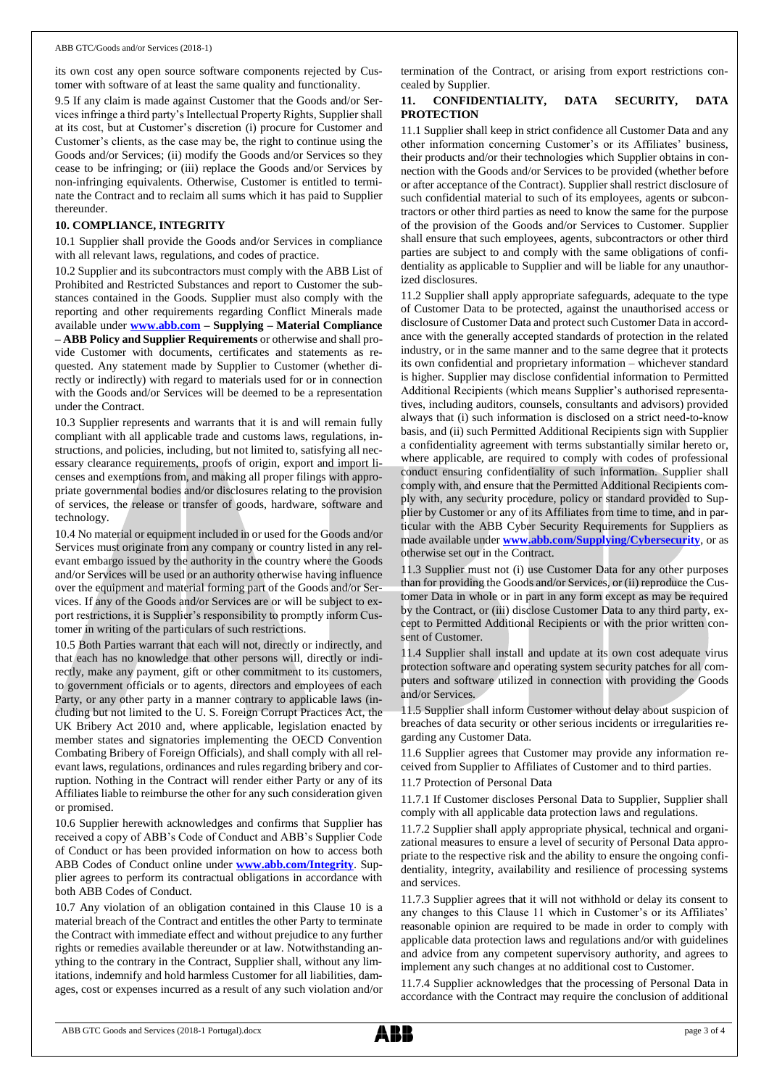its own cost any open source software components rejected by Customer with software of at least the same quality and functionality.

9.5 If any claim is made against Customer that the Goods and/or Services infringe a third party's Intellectual Property Rights, Supplier shall at its cost, but at Customer's discretion (i) procure for Customer and Customer's clients, as the case may be, the right to continue using the Goods and/or Services; (ii) modify the Goods and/or Services so they cease to be infringing; or (iii) replace the Goods and/or Services by non-infringing equivalents. Otherwise, Customer is entitled to terminate the Contract and to reclaim all sums which it has paid to Supplier thereunder.

#### **10. COMPLIANCE, INTEGRITY**

10.1 Supplier shall provide the Goods and/or Services in compliance with all relevant laws, regulations, and codes of practice.

10.2 Supplier and its subcontractors must comply with the ABB List of Prohibited and Restricted Substances and report to Customer the substances contained in the Goods. Supplier must also comply with the reporting and other requirements regarding Conflict Minerals made available under **[www.abb.com](http://www.abb.com/) – Supplying – Material Compliance – ABB Policy and Supplier Requirements** or otherwise and shall provide Customer with documents, certificates and statements as requested. Any statement made by Supplier to Customer (whether directly or indirectly) with regard to materials used for or in connection with the Goods and/or Services will be deemed to be a representation under the Contract.

10.3 Supplier represents and warrants that it is and will remain fully compliant with all applicable trade and customs laws, regulations, instructions, and policies, including, but not limited to, satisfying all necessary clearance requirements, proofs of origin, export and import licenses and exemptions from, and making all proper filings with appropriate governmental bodies and/or disclosures relating to the provision of services, the release or transfer of goods, hardware, software and technology.

10.4 No material or equipment included in or used for the Goods and/or Services must originate from any company or country listed in any relevant embargo issued by the authority in the country where the Goods and/or Services will be used or an authority otherwise having influence over the equipment and material forming part of the Goods and/or Services. If any of the Goods and/or Services are or will be subject to export restrictions, it is Supplier's responsibility to promptly inform Customer in writing of the particulars of such restrictions.

10.5 Both Parties warrant that each will not, directly or indirectly, and that each has no knowledge that other persons will, directly or indirectly, make any payment, gift or other commitment to its customers, to government officials or to agents, directors and employees of each Party, or any other party in a manner contrary to applicable laws (including but not limited to the U. S. Foreign Corrupt Practices Act, the UK Bribery Act 2010 and, where applicable, legislation enacted by member states and signatories implementing the OECD Convention Combating Bribery of Foreign Officials), and shall comply with all relevant laws, regulations, ordinances and rules regarding bribery and corruption. Nothing in the Contract will render either Party or any of its Affiliates liable to reimburse the other for any such consideration given or promised.

10.6 Supplier herewith acknowledges and confirms that Supplier has received a copy of ABB's Code of Conduct and ABB's Supplier Code of Conduct or has been provided information on how to access both ABB Codes of Conduct online under **[www.abb.com/Integrity](http://www.abb.com/Integrity)**. Supplier agrees to perform its contractual obligations in accordance with both ABB Codes of Conduct.

10.7 Any violation of an obligation contained in this Clause 10 is a material breach of the Contract and entitles the other Party to terminate the Contract with immediate effect and without prejudice to any further rights or remedies available thereunder or at law. Notwithstanding anything to the contrary in the Contract, Supplier shall, without any limitations, indemnify and hold harmless Customer for all liabilities, damages, cost or expenses incurred as a result of any such violation and/or termination of the Contract, or arising from export restrictions concealed by Supplier.

# **11. CONFIDENTIALITY, DATA SECURITY, DATA PROTECTION**

11.1 Supplier shall keep in strict confidence all Customer Data and any other information concerning Customer's or its Affiliates' business, their products and/or their technologies which Supplier obtains in connection with the Goods and/or Services to be provided (whether before or after acceptance of the Contract). Supplier shall restrict disclosure of such confidential material to such of its employees, agents or subcontractors or other third parties as need to know the same for the purpose of the provision of the Goods and/or Services to Customer. Supplier shall ensure that such employees, agents, subcontractors or other third parties are subject to and comply with the same obligations of confidentiality as applicable to Supplier and will be liable for any unauthorized disclosures.

11.2 Supplier shall apply appropriate safeguards, adequate to the type of Customer Data to be protected, against the unauthorised access or disclosure of Customer Data and protect such Customer Data in accordance with the generally accepted standards of protection in the related industry, or in the same manner and to the same degree that it protects its own confidential and proprietary information – whichever standard is higher. Supplier may disclose confidential information to Permitted Additional Recipients (which means Supplier's authorised representatives, including auditors, counsels, consultants and advisors) provided always that (i) such information is disclosed on a strict need-to-know basis, and (ii) such Permitted Additional Recipients sign with Supplier a confidentiality agreement with terms substantially similar hereto or, where applicable, are required to comply with codes of professional conduct ensuring confidentiality of such information. Supplier shall comply with, and ensure that the Permitted Additional Recipients comply with, any security procedure, policy or standard provided to Supplier by Customer or any of its Affiliates from time to time, and in particular with the ABB Cyber Security Requirements for Suppliers as made available under **[www.abb.com/Supplying/Cybersecurity](http://www.abb.com/Supplying/Cybersecurity)**, or as otherwise set out in the Contract.

11.3 Supplier must not (i) use Customer Data for any other purposes than for providing the Goods and/or Services, or (ii) reproduce the Customer Data in whole or in part in any form except as may be required by the Contract, or (iii) disclose Customer Data to any third party, except to Permitted Additional Recipients or with the prior written consent of Customer.

11.4 Supplier shall install and update at its own cost adequate virus protection software and operating system security patches for all computers and software utilized in connection with providing the Goods and/or Services.

11.5 Supplier shall inform Customer without delay about suspicion of breaches of data security or other serious incidents or irregularities regarding any Customer Data.

11.6 Supplier agrees that Customer may provide any information received from Supplier to Affiliates of Customer and to third parties.

#### 11.7 Protection of Personal Data

11.7.1 If Customer discloses Personal Data to Supplier, Supplier shall comply with all applicable data protection laws and regulations.

11.7.2 Supplier shall apply appropriate physical, technical and organizational measures to ensure a level of security of Personal Data appropriate to the respective risk and the ability to ensure the ongoing confidentiality, integrity, availability and resilience of processing systems and services.

11.7.3 Supplier agrees that it will not withhold or delay its consent to any changes to this Clause 11 which in Customer's or its Affiliates' reasonable opinion are required to be made in order to comply with applicable data protection laws and regulations and/or with guidelines and advice from any competent supervisory authority, and agrees to implement any such changes at no additional cost to Customer.

11.7.4 Supplier acknowledges that the processing of Personal Data in accordance with the Contract may require the conclusion of additional